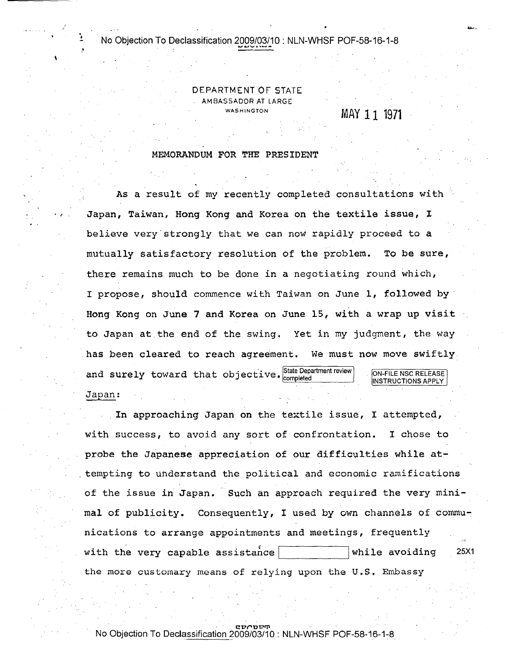### No Objection To Declassification 2009/03/10 : NLN-WHSF POF-58-16-1-8

""'~""'.t.""""'''''

 $\mathbf{r}$ 

.<br>.<br>. • .'

### DEPARTMENT OF STATE AMBASSADOR AT LARGE **WASHINGTON**

# MAY 11 1971

~\ .

#### MEMORANDUM FOR THE PRESIDENT

As a result of my recently completed consultations with Japan, Taiwan, Hong Kong and Korea on the textile issue, I believe very strongly that we can now rapidly proceed to a mutually satisfactory resolution of the problem. To be sure, there remains much to be done in a negotiating round which, I propose, should commence with Taiwan on June 1, followed by . Hong Kong on June 7 and Korea on June 15, with a wrap up visit to Japan at the end of the swing. Yet in my judgment, the way has been cleared to reach agreement. We must now move swiftly and surely toward that objective. State Department review Japan: ON-FILE NSC RELEASE INSTRUCTIONS APPLY

In approaching Japan on the textile issue, I attempted, with success, to avoid any sort of confrontation. I chose to probe the Japanese appreciation of our difficulties while at- . tempting to uhderstand the political and economic ramifications of the issue in Japan. Such an approach required the very minimal of publicity. Consequently, I used by own channels of communications to arrange appointments and meetings, frequently with the very capable assista~cel Iwhile avoiding '---------' 25X1 the more customary means of relying upon the U.S. Embassy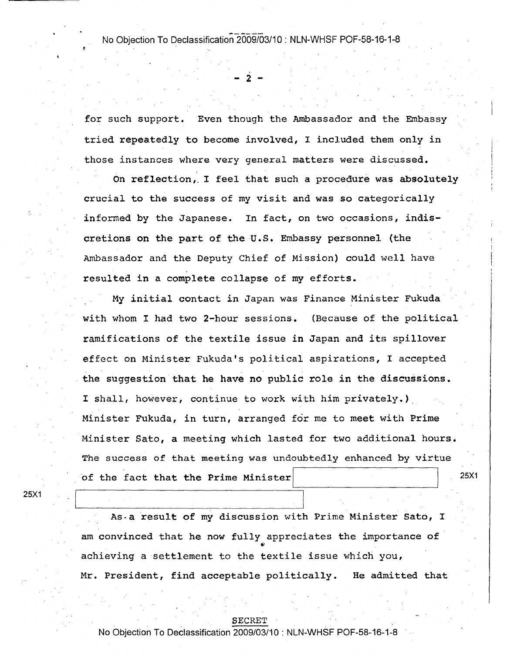### No Objection To Declassification 2009/03/10 : NLN-WHSF POF-58-16-1-8

- 2 -

for such support. Even though the Ambassador and the Embassy tried repeatedly to become involved, I included them only in those instances where very general matters were discussed.

On reflection,. I feel that such a procedure was absolutely crucial to the success of my visit and was so categorically informed by the Japanese. In fact, on two occasions, indiscretions on the part of the U.S. Embassy personnel (the Ambassador and the Deputy Chief of Mission) could well have resulted in a complete collapse of my efforts.

My initial contact in Japan was Finance Minister Fukuda with whom I had two 2-hour sessions. (Because of the political ramifications of the textile issue in Japan and its spillover effect on Minister Fukuda's political aspirations, I accepted the suggestion that he have no public role in the discussions. I shall, however, continue to work with him privately.) Minister Fukuda, in turn, arranged for me to meet with Prime Minister Sato, a meeting which lasted for two additional hours. The success of that meeting was undoubtedly enhanced by virtue of the fact that the Prime Minister

25X1

25X1

As·a result of my discussion with Prime Minister Sato, I am convinced that he now fully appreciates the importance of achieving a settlement to the textile issue which you, Mr. President, find acceptable politically. He admitted that

#### SECRET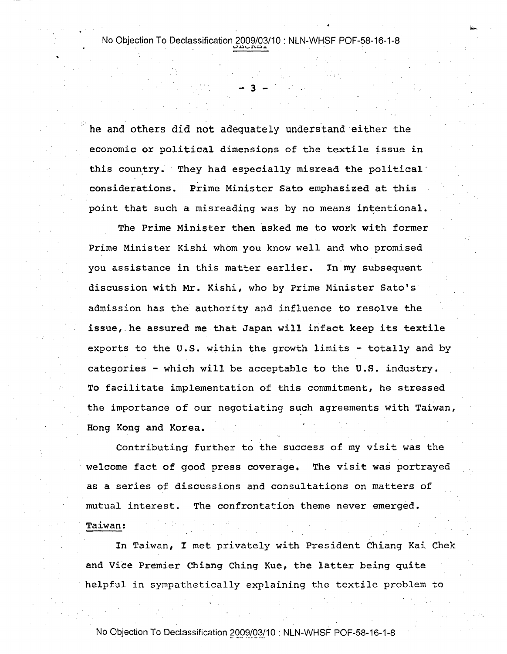.....

- 3 -

he and others did not adequately understand either the economic or political dimensions of the textile issue in this country. They had especially misread the political considerations. Prime Minister Sato emphasized at this point that such a misreading was by no means intentional.

The Prime Minister then asked me to work with former Prime Minister Kishi whom you know well and who promised you assistance in this matter earlier. In my subsequent' discussion with Mr. Kishi, who by Prime Minister Sato's' admission has the authority and influence to resolve the issue,. he assured me that Japan will infact keep its textile exports to the U.S. within the growth limits - totally and by categories - which will be acceptable to the U.S. industry. To facilitate implementation of this commitment, he stressed the importance of our negotiating such agreements with Taiwan, Hong Kong and Korea.

Contributing further to the success of my visit was the welcome fact of good press coverage. The visit was portrayed as a series of discussions and consultations on matters of mutual interest. The confrontation theme never emerged.

In Taiwan, I met privately with President Chiang Kai Chek and Vice Premier Chiang Ching Kue, the latter being quite helpful in sympathetically explaining the textile problem to

No Objection To Declassification 2009/03/10 : NLN-WHSF POF-58-16-1-8

Taiwan: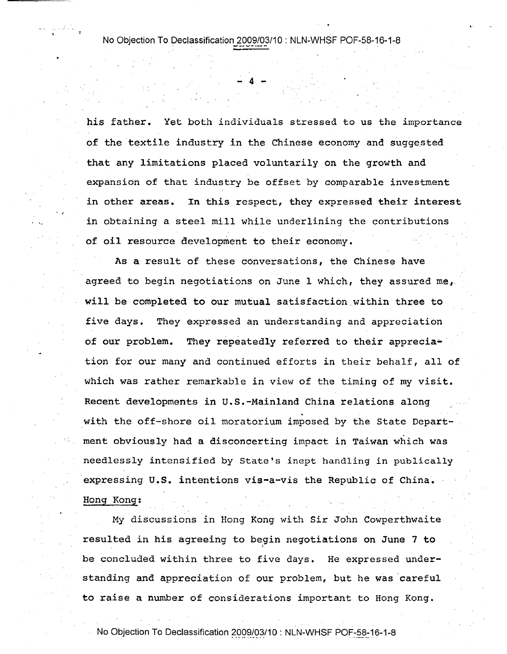4

his father. Yet both individuals stressed to us the importance of the textile industry in the Chinese economy and suggested that any limitations placed voluntarily on the growth and expansion of that industry be offset by comparable investment in other areas. In this respect, they expressed their interest in obtaining a steel mill while underlining the contributions of oil resource development to their economy.

. ,

'"

As a result of these conversations, the Chinese have agreed to begin negotiations on June 1 which, they assured me, will be completed to our mutual satisfaction within three to five days. They expressed an understanding and appreciation of our problem. They repeatedly referred to their apprecia- ' tion for our many and continued efforts in their behalf, all of which was rather remarkable in view of the timing of my visit. Recent developments in U.S.-Mainland China relations along with the off-shore oil moratorium imposed by the State Department obviously had a disconcerting impact in Taiwan which was needlessly intensified by State's inept handling in publically expressing U.S. intentions vis-a-vis the Republic of China. Hong Kong:

My discussions in Hong Kong with Sir John Cowperthwaite resulted in his agreeing to begin negotiations on June 7 to be concluded within three to five days. He expressed understanding and appreciation of our problem, but he was careful to raise a number of considerations important to Hong Kong.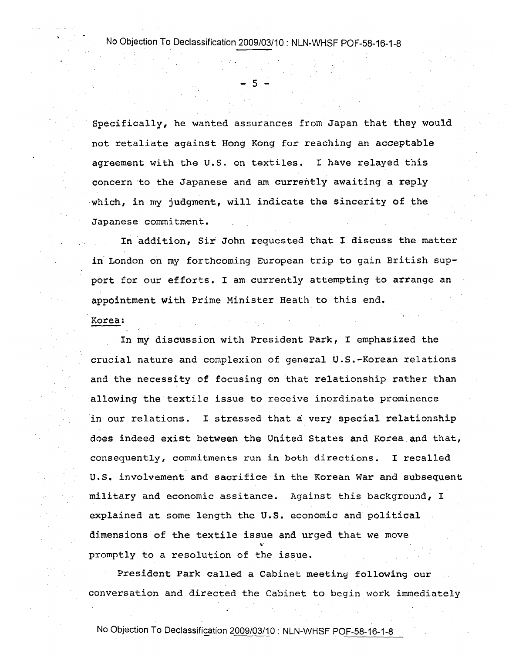No Objection To Declassification 2009/03/10: NLN-WHSF POF-58-16-1-8

 $-5 -$ 

Specifically, he wanted assurances from Japan that they would not retaliate against Hong Kong for reaching an acceptable agreement with the U.S. on textiles. I have relayed this concern to the Japanese and am currently awaiting a reply which, in my judgment, will indicate the sincerity of the Japanese commitment.

In addition, Sir John requested that I discuss the matter in" London on my forthcoming European trip to gain British support for our efforts. I am currently attempting to arrange an appointment with Prime Minister Heath to this end.

#### Korea:

In my discussion with President Park, I emphasized the crucial nature and complexion of general U.S.-Korean relations and the necessity of focusing on that relationship rather than allowing the textile issue to receive inordinate prominence in our relations. I stressed that a very special relationship does indeed exist between the United States and Korea and that, consequently, commitments run in both directions. I recalled u.s. involvement and sacrifice in the Korean War and subsequent military and economic assitance. Against this background, I explained at some length the U.S. economic and political dimensions of the textile issue and urged that we move promptly to a resolution of the issue.

President Park called a Cabinet meeting following our conversation and directed the Cabinet to begin work immediately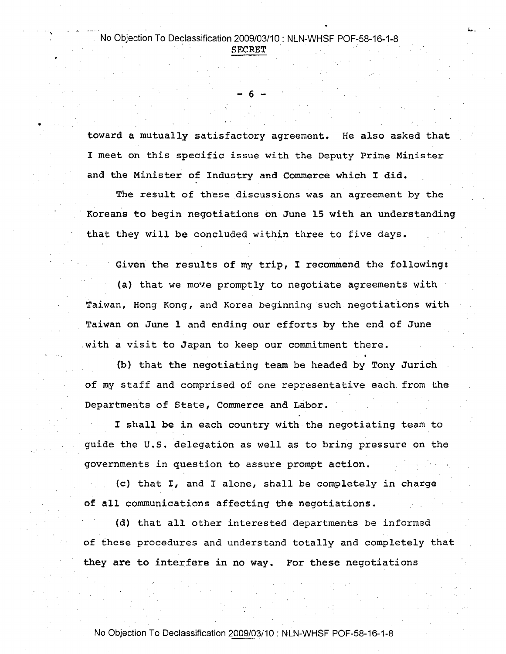..

•

6

toward a mutually satisfactory agreement. He also asked that I meet on this specific issue with the Deputy Prime Minister and the Minister of Industry and Commerce which I did.

The result of these discussions was an agreement by the Koreans to begin negotiations on June 15 with an understanding that they will be concluded within three to five days.

Given the results of my trip, I recommend the following: (a) that we move promptly to negotiate agreements with Taiwan, Hong Kong, and Korea beginning such negotiations with Taiwan on June 1 and ending our efforts by the end of June with a visit to Japan to keep our commitment there.

(b) that the negotiating team be headed by Tony Jurich of my staff and comprised of one representative each. from the Departments of State, Commerce and Labor.

I shall be *in* each country with the negotiating team to guide the U.S. delegation as well as to bring pressure on the governments in question to assure prompt action.

(c) that I, and I alone, shall be completely in charge of all communications affecting the negotiations.

(d) that all other interested departments be informed of these procedures and understand totally and completely that they are to interfere in no way. For these negotiations